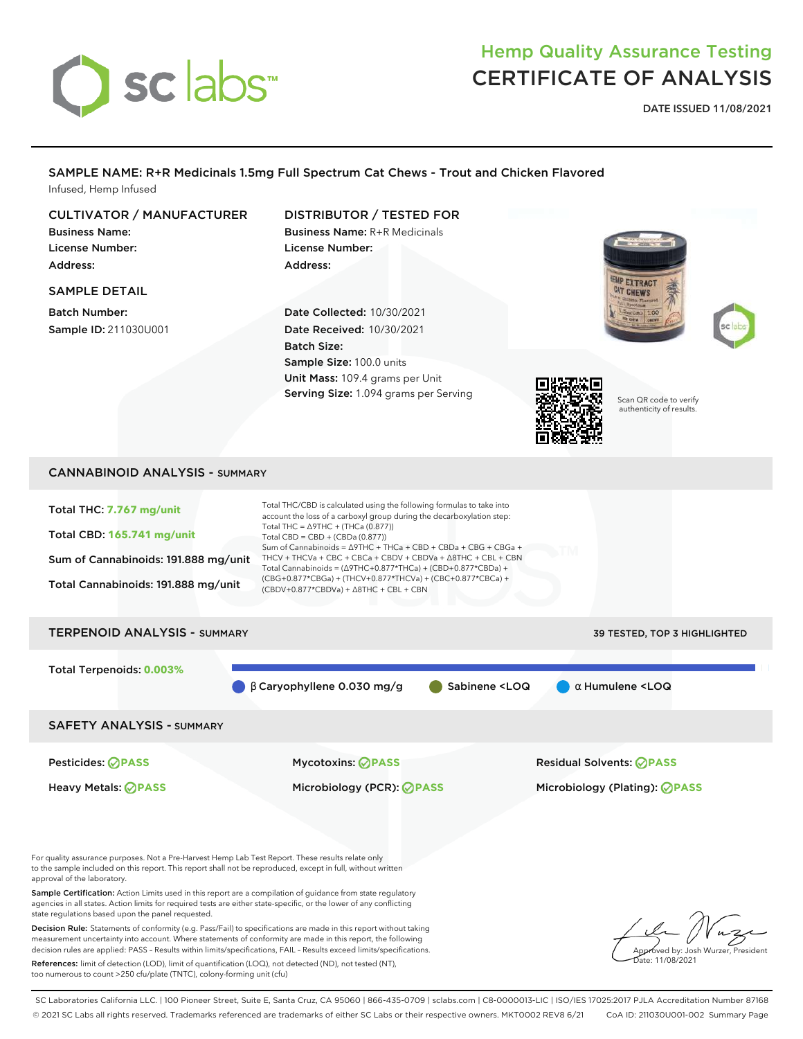# sclabs<sup>\*</sup>

## Hemp Quality Assurance Testing CERTIFICATE OF ANALYSIS

**DATE ISSUED 11/08/2021**

#### SAMPLE NAME: R+R Medicinals 1.5mg Full Spectrum Cat Chews - Trout and Chicken Flavored Infused, Hemp Infused

#### CULTIVATOR / MANUFACTURER

Business Name: License Number: Address:

#### SAMPLE DETAIL

Batch Number: Sample ID: 211030U001

## DISTRIBUTOR / TESTED FOR Business Name: R+R Medicinals

License Number: Address:

Date Collected: 10/30/2021 Date Received: 10/30/2021 Batch Size: Sample Size: 100.0 units Unit Mass: 109.4 grams per Unit Serving Size: 1.094 grams per Serving







Scan QR code to verify authenticity of results.

#### CANNABINOID ANALYSIS - SUMMARY

| Total THC: 7.767 mg/unit<br>Total CBD: 165.741 mg/unit<br>Sum of Cannabinoids: 191.888 mg/unit<br>Total Cannabinoids: 191.888 mg/unit                                                                                                                                                   | Total THC/CBD is calculated using the following formulas to take into<br>account the loss of a carboxyl group during the decarboxylation step:<br>Total THC = $\triangle$ 9THC + (THCa (0.877))<br>Total CBD = $CBD + (CBDa (0.877))$<br>Sum of Cannabinoids = Δ9THC + THCa + CBD + CBDa + CBG + CBGa +<br>THCV + THCVa + CBC + CBCa + CBDV + CBDVa + $\triangle$ 8THC + CBL + CBN<br>Total Cannabinoids = $(\Delta$ 9THC+0.877*THCa) + (CBD+0.877*CBDa) +<br>(CBG+0.877*CBGa) + (THCV+0.877*THCVa) + (CBC+0.877*CBCa) +<br>$(CBDV+0.877*CBDVa) + \Delta 8THC + CBL + CBN$ |                                       |
|-----------------------------------------------------------------------------------------------------------------------------------------------------------------------------------------------------------------------------------------------------------------------------------------|----------------------------------------------------------------------------------------------------------------------------------------------------------------------------------------------------------------------------------------------------------------------------------------------------------------------------------------------------------------------------------------------------------------------------------------------------------------------------------------------------------------------------------------------------------------------------|---------------------------------------|
| <b>TERPENOID ANALYSIS - SUMMARY</b>                                                                                                                                                                                                                                                     |                                                                                                                                                                                                                                                                                                                                                                                                                                                                                                                                                                            | 39 TESTED, TOP 3 HIGHLIGHTED          |
| Total Terpenoids: 0.003%                                                                                                                                                                                                                                                                | $\beta$ Caryophyllene 0.030 mg/g<br>Sabinene <loq< th=""><th><math>\alpha</math> Humulene <loq< th=""></loq<></th></loq<>                                                                                                                                                                                                                                                                                                                                                                                                                                                  | $\alpha$ Humulene <loq< th=""></loq<> |
| <b>SAFETY ANALYSIS - SUMMARY</b>                                                                                                                                                                                                                                                        |                                                                                                                                                                                                                                                                                                                                                                                                                                                                                                                                                                            |                                       |
| <b>Pesticides: ⊘ PASS</b>                                                                                                                                                                                                                                                               | Mycotoxins: <b>OPASS</b>                                                                                                                                                                                                                                                                                                                                                                                                                                                                                                                                                   | <b>Residual Solvents: ⊘PASS</b>       |
| <b>Heavy Metals: ØPASS</b>                                                                                                                                                                                                                                                              | Microbiology (PCR): <b>PASS</b>                                                                                                                                                                                                                                                                                                                                                                                                                                                                                                                                            | Microbiology (Plating): ⊘PASS         |
| For quality assurance purposes. Not a Pre-Harvest Hemp Lab Test Report. These results relate only                                                                                                                                                                                       |                                                                                                                                                                                                                                                                                                                                                                                                                                                                                                                                                                            |                                       |
| to the sample included on this report. This report shall not be reproduced, except in full, without written<br>approval of the laboratory.                                                                                                                                              |                                                                                                                                                                                                                                                                                                                                                                                                                                                                                                                                                                            |                                       |
| Sample Certification: Action Limits used in this report are a compilation of quidance from state regulatory<br>agencies in all states. Action limits for required tests are either state-specific, or the lower of any conflicting<br>state regulations based upon the panel requested. |                                                                                                                                                                                                                                                                                                                                                                                                                                                                                                                                                                            |                                       |
| Decision Rule: Statements of conformity (e.g. Pass/Fail) to specifications are made in this report without taking                                                                                                                                                                       |                                                                                                                                                                                                                                                                                                                                                                                                                                                                                                                                                                            |                                       |

Decision Rule: Statements of conformity (e.g. Pass/Fail) to specifications are made in this report without taking measurement uncertainty into account. Where statements of conformity are made in this report, the following decision rules are applied: PASS – Results within limits/specifications, FAIL – Results exceed limits/specifications.

References: limit of detection (LOD), limit of quantification (LOQ), not detected (ND), not tested (NT), too numerous to count >250 cfu/plate (TNTC), colony-forming unit (cfu)

**Y** Approved by: Josh Wurzer, President Date: 11/08/2021

SC Laboratories California LLC. | 100 Pioneer Street, Suite E, Santa Cruz, CA 95060 | 866-435-0709 | sclabs.com | C8-0000013-LIC | ISO/IES 17025:2017 PJLA Accreditation Number 87168 © 2021 SC Labs all rights reserved. Trademarks referenced are trademarks of either SC Labs or their respective owners. MKT0002 REV8 6/21 CoA ID: 211030U001-002 Summary Page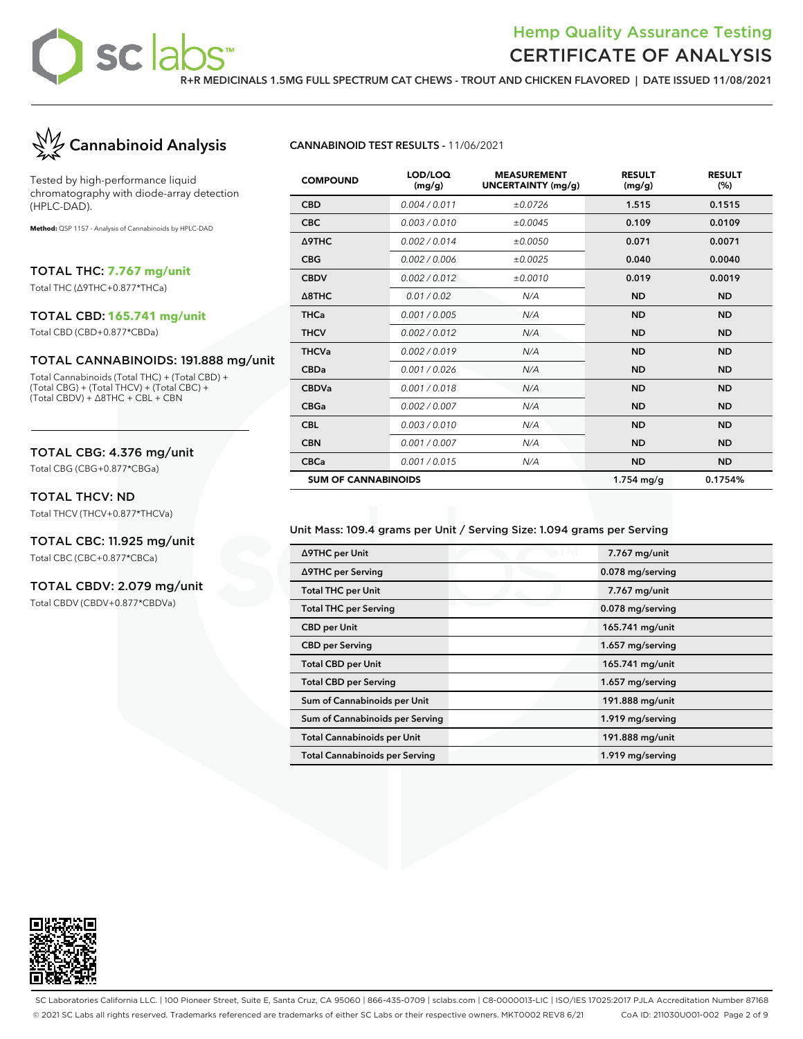

**R+R MEDICINALS 1.5MG FULL SPECTRUM CAT CHEWS - TROUT AND CHICKEN FLAVORED | DATE ISSUED 11/08/2021**



Tested by high-performance liquid chromatography with diode-array detection (HPLC-DAD).

**Method:** QSP 1157 - Analysis of Cannabinoids by HPLC-DAD

TOTAL THC: **7.767 mg/unit**

Total THC (∆9THC+0.877\*THCa)

#### TOTAL CBD: **165.741 mg/unit**

Total CBD (CBD+0.877\*CBDa)

#### TOTAL CANNABINOIDS: 191.888 mg/unit

Total Cannabinoids (Total THC) + (Total CBD) + (Total CBG) + (Total THCV) + (Total CBC) + (Total CBDV) + ∆8THC + CBL + CBN

#### TOTAL CBG: 4.376 mg/unit

Total CBG (CBG+0.877\*CBGa)

#### TOTAL THCV: ND

Total THCV (THCV+0.877\*THCVa)

#### TOTAL CBC: 11.925 mg/unit

Total CBC (CBC+0.877\*CBCa)

#### TOTAL CBDV: 2.079 mg/unit

Total CBDV (CBDV+0.877\*CBDVa)

#### **CANNABINOID TEST RESULTS -** 11/06/2021

| <b>COMPOUND</b>            | LOD/LOQ<br>(mg/g) | <b>MEASUREMENT</b><br>UNCERTAINTY (mg/g) | <b>RESULT</b><br>(mg/g) | <b>RESULT</b><br>(%) |
|----------------------------|-------------------|------------------------------------------|-------------------------|----------------------|
| <b>CBD</b>                 | 0.004 / 0.011     | ±0.0726                                  | 1.515                   | 0.1515               |
| <b>CBC</b>                 | 0.003/0.010       | ±0.0045                                  | 0.109                   | 0.0109               |
| Δ9THC                      | 0.002/0.014       | ±0.0050                                  | 0.071                   | 0.0071               |
| <b>CBG</b>                 | 0.002/0.006       | ±0.0025                                  | 0.040                   | 0.0040               |
| <b>CBDV</b>                | 0.002 / 0.012     | ±0.0010                                  | 0.019                   | 0.0019               |
| $\triangle$ 8THC           | 0.01 / 0.02       | N/A                                      | <b>ND</b>               | <b>ND</b>            |
| <b>THCa</b>                | 0.001 / 0.005     | N/A                                      | <b>ND</b>               | <b>ND</b>            |
| <b>THCV</b>                | 0.002 / 0.012     | N/A                                      | <b>ND</b>               | <b>ND</b>            |
| <b>THCVa</b>               | 0.002 / 0.019     | N/A                                      | <b>ND</b>               | <b>ND</b>            |
| <b>CBDa</b>                | 0.001 / 0.026     | N/A                                      | <b>ND</b>               | <b>ND</b>            |
| <b>CBDVa</b>               | 0.001/0.018       | N/A                                      | <b>ND</b>               | <b>ND</b>            |
| <b>CBGa</b>                | 0.002 / 0.007     | N/A                                      | <b>ND</b>               | <b>ND</b>            |
| <b>CBL</b>                 | 0.003/0.010       | N/A                                      | <b>ND</b>               | <b>ND</b>            |
| <b>CBN</b>                 | 0.001 / 0.007     | N/A                                      | <b>ND</b>               | <b>ND</b>            |
| <b>CBCa</b>                | 0.001 / 0.015     | N/A                                      | <b>ND</b>               | <b>ND</b>            |
| <b>SUM OF CANNABINOIDS</b> |                   |                                          | $1.754$ mg/g            | 0.1754%              |

#### Unit Mass: 109.4 grams per Unit / Serving Size: 1.094 grams per Serving

| ∆9THC per Unit                        | 7.767 mg/unit    |
|---------------------------------------|------------------|
| ∆9THC per Serving                     | 0.078 mg/serving |
| <b>Total THC per Unit</b>             | 7.767 mg/unit    |
| <b>Total THC per Serving</b>          | 0.078 mg/serving |
| <b>CBD</b> per Unit                   | 165.741 mg/unit  |
| <b>CBD</b> per Serving                | 1.657 mg/serving |
| <b>Total CBD per Unit</b>             | 165.741 mg/unit  |
| <b>Total CBD per Serving</b>          | 1.657 mg/serving |
| Sum of Cannabinoids per Unit          | 191.888 mg/unit  |
| Sum of Cannabinoids per Serving       | 1.919 mg/serving |
| <b>Total Cannabinoids per Unit</b>    | 191.888 mg/unit  |
| <b>Total Cannabinoids per Serving</b> | 1.919 mg/serving |



SC Laboratories California LLC. | 100 Pioneer Street, Suite E, Santa Cruz, CA 95060 | 866-435-0709 | sclabs.com | C8-0000013-LIC | ISO/IES 17025:2017 PJLA Accreditation Number 87168 © 2021 SC Labs all rights reserved. Trademarks referenced are trademarks of either SC Labs or their respective owners. MKT0002 REV8 6/21 CoA ID: 211030U001-002 Page 2 of 9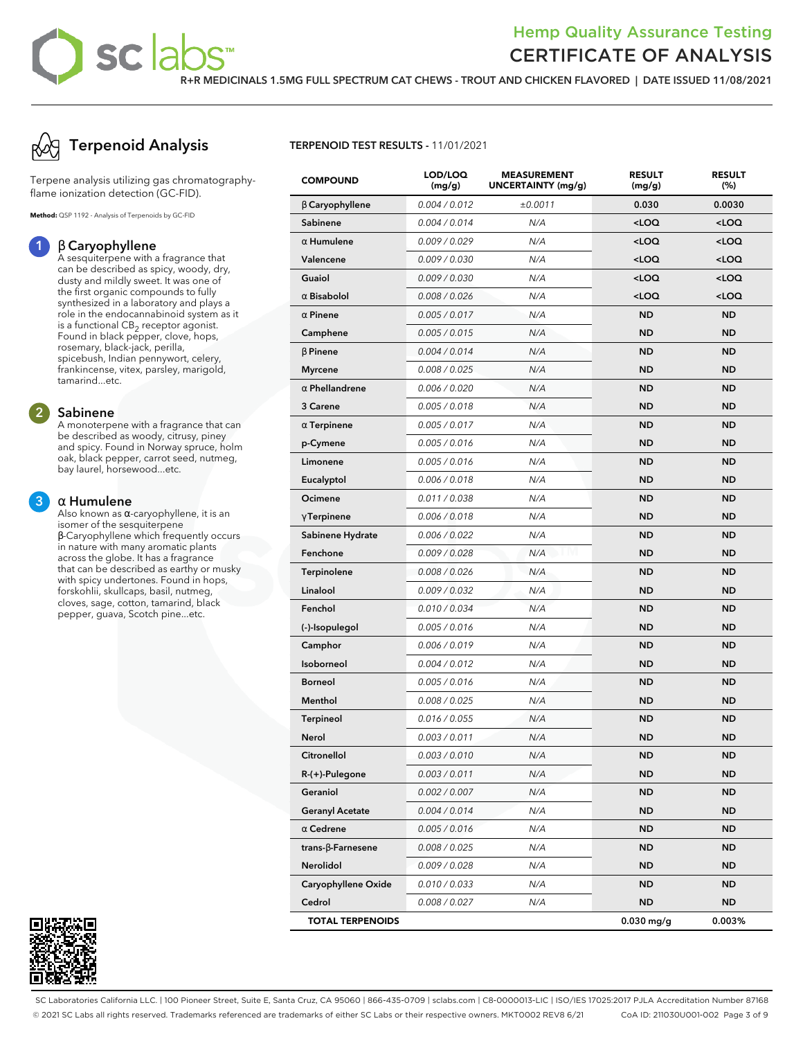**R+R MEDICINALS 1.5MG FULL SPECTRUM CAT CHEWS - TROUT AND CHICKEN FLAVORED | DATE ISSUED 11/08/2021**



Terpene analysis utilizing gas chromatographyflame ionization detection (GC-FID).

**Method:** QSP 1192 - Analysis of Terpenoids by GC-FID

#### **1** β **Caryophyllene**

A sesquiterpene with a fragrance that can be described as spicy, woody, dry, dusty and mildly sweet. It was one of the first organic compounds to fully synthesized in a laboratory and plays a role in the endocannabinoid system as it is a functional  $\mathsf{CB}_2$  receptor agonist. Found in black pepper, clove, hops, rosemary, black-jack, perilla, spicebush, Indian pennywort, celery, frankincense, vitex, parsley, marigold, tamarind...etc.

#### **2 Sabinene**

A monoterpene with a fragrance that can be described as woody, citrusy, piney and spicy. Found in Norway spruce, holm oak, black pepper, carrot seed, nutmeg, bay laurel, horsewood...etc.

#### **3** α **Humulene**

Also known as α-caryophyllene, it is an isomer of the sesquiterpene β-Caryophyllene which frequently occurs in nature with many aromatic plants across the globe. It has a fragrance that can be described as earthy or musky with spicy undertones. Found in hops, forskohlii, skullcaps, basil, nutmeg, cloves, sage, cotton, tamarind, black pepper, guava, Scotch pine...etc.



#### **TERPENOID TEST RESULTS -** 11/01/2021

| <b>COMPOUND</b>           | LOD/LOQ<br>(mg/g) | <b>MEASUREMENT</b><br>UNCERTAINTY (mg/g) | <b>RESULT</b><br>(mg/g)                          | <b>RESULT</b><br>(%) |
|---------------------------|-------------------|------------------------------------------|--------------------------------------------------|----------------------|
| $\beta$ Caryophyllene     | 0.004 / 0.012     | ±0.0011                                  | 0.030                                            | 0.0030               |
| Sabinene                  | 0.004 / 0.014     | N/A                                      | <loq< th=""><th><math>&lt;</math>LOQ</th></loq<> | $<$ LOQ              |
| $\alpha$ Humulene         | 0.009 / 0.029     | N/A                                      | <loq< th=""><th><loq< th=""></loq<></th></loq<>  | <loq< th=""></loq<>  |
| Valencene                 | 0.009 / 0.030     | N/A                                      | <loq< th=""><th><loq< th=""></loq<></th></loq<>  | <loq< th=""></loq<>  |
| Guaiol                    | 0.009 / 0.030     | N/A                                      | $<$ LOQ                                          | $<$ LOQ              |
| $\alpha$ Bisabolol        | 0.008 / 0.026     | N/A                                      | <loq< th=""><th><loq< th=""></loq<></th></loq<>  | <loq< th=""></loq<>  |
| $\alpha$ Pinene           | 0.005 / 0.017     | N/A                                      | <b>ND</b>                                        | <b>ND</b>            |
| Camphene                  | 0.005 / 0.015     | N/A                                      | <b>ND</b>                                        | <b>ND</b>            |
| $\beta$ Pinene            | 0.004 / 0.014     | N/A                                      | ND                                               | <b>ND</b>            |
| <b>Myrcene</b>            | 0.008 / 0.025     | N/A                                      | ND                                               | <b>ND</b>            |
| $\alpha$ Phellandrene     | 0.006 / 0.020     | N/A                                      | <b>ND</b>                                        | <b>ND</b>            |
| 3 Carene                  | 0.005 / 0.018     | N/A                                      | <b>ND</b>                                        | <b>ND</b>            |
| $\alpha$ Terpinene        | 0.005 / 0.017     | N/A                                      | ND                                               | <b>ND</b>            |
| p-Cymene                  | 0.005 / 0.016     | N/A                                      | <b>ND</b>                                        | <b>ND</b>            |
| Limonene                  | 0.005 / 0.016     | N/A                                      | ND                                               | <b>ND</b>            |
| Eucalyptol                | 0.006 / 0.018     | N/A                                      | ND                                               | <b>ND</b>            |
| Ocimene                   | 0.011 / 0.038     | N/A                                      | <b>ND</b>                                        | <b>ND</b>            |
| $\gamma$ Terpinene        | 0.006 / 0.018     | N/A                                      | <b>ND</b>                                        | <b>ND</b>            |
| Sabinene Hydrate          | 0.006 / 0.022     | N/A                                      | ND                                               | <b>ND</b>            |
| Fenchone                  | 0.009 / 0.028     | N/A                                      | <b>ND</b>                                        | <b>ND</b>            |
| Terpinolene               | 0.008 / 0.026     | N/A                                      | ND                                               | <b>ND</b>            |
| Linalool                  | 0.009 / 0.032     | N/A                                      | ND                                               | <b>ND</b>            |
| Fenchol                   | 0.010 / 0.034     | N/A                                      | <b>ND</b>                                        | <b>ND</b>            |
| (-)-Isopulegol            | 0.005 / 0.016     | N/A                                      | <b>ND</b>                                        | <b>ND</b>            |
| Camphor                   | 0.006 / 0.019     | N/A                                      | ND                                               | <b>ND</b>            |
| Isoborneol                | 0.004 / 0.012     | N/A                                      | <b>ND</b>                                        | <b>ND</b>            |
| <b>Borneol</b>            | 0.005 / 0.016     | N/A                                      | ND                                               | <b>ND</b>            |
| Menthol                   | 0.008 / 0.025     | N/A                                      | ND                                               | <b>ND</b>            |
| <b>Terpineol</b>          | 0.016 / 0.055     | N/A                                      | <b>ND</b>                                        | <b>ND</b>            |
| <b>Nerol</b>              | 0.003 / 0.011     | N/A                                      | ND                                               | <b>ND</b>            |
| Citronellol               | 0.003 / 0.010     | N/A                                      | ND                                               | ND                   |
| R-(+)-Pulegone            | 0.003 / 0.011     | N/A                                      | <b>ND</b>                                        | <b>ND</b>            |
| Geraniol                  | 0.002 / 0.007     | N/A                                      | ND                                               | <b>ND</b>            |
| <b>Geranyl Acetate</b>    | 0.004 / 0.014     | N/A                                      | ND                                               | ND.                  |
| $\alpha$ Cedrene          | 0.005 / 0.016     | N/A                                      | <b>ND</b>                                        | <b>ND</b>            |
| trans- $\beta$ -Farnesene | 0.008 / 0.025     | N/A                                      | ND                                               | ND                   |
| Nerolidol                 | 0.009 / 0.028     | N/A                                      | ND                                               | ND                   |
| Caryophyllene Oxide       | 0.010 / 0.033     | N/A                                      | <b>ND</b>                                        | <b>ND</b>            |
| Cedrol                    | 0.008 / 0.027     | N/A                                      | ND                                               | ND                   |
| <b>TOTAL TERPENOIDS</b>   |                   |                                          | $0.030$ mg/g                                     | 0.003%               |

SC Laboratories California LLC. | 100 Pioneer Street, Suite E, Santa Cruz, CA 95060 | 866-435-0709 | sclabs.com | C8-0000013-LIC | ISO/IES 17025:2017 PJLA Accreditation Number 87168 © 2021 SC Labs all rights reserved. Trademarks referenced are trademarks of either SC Labs or their respective owners. MKT0002 REV8 6/21 CoA ID: 211030U001-002 Page 3 of 9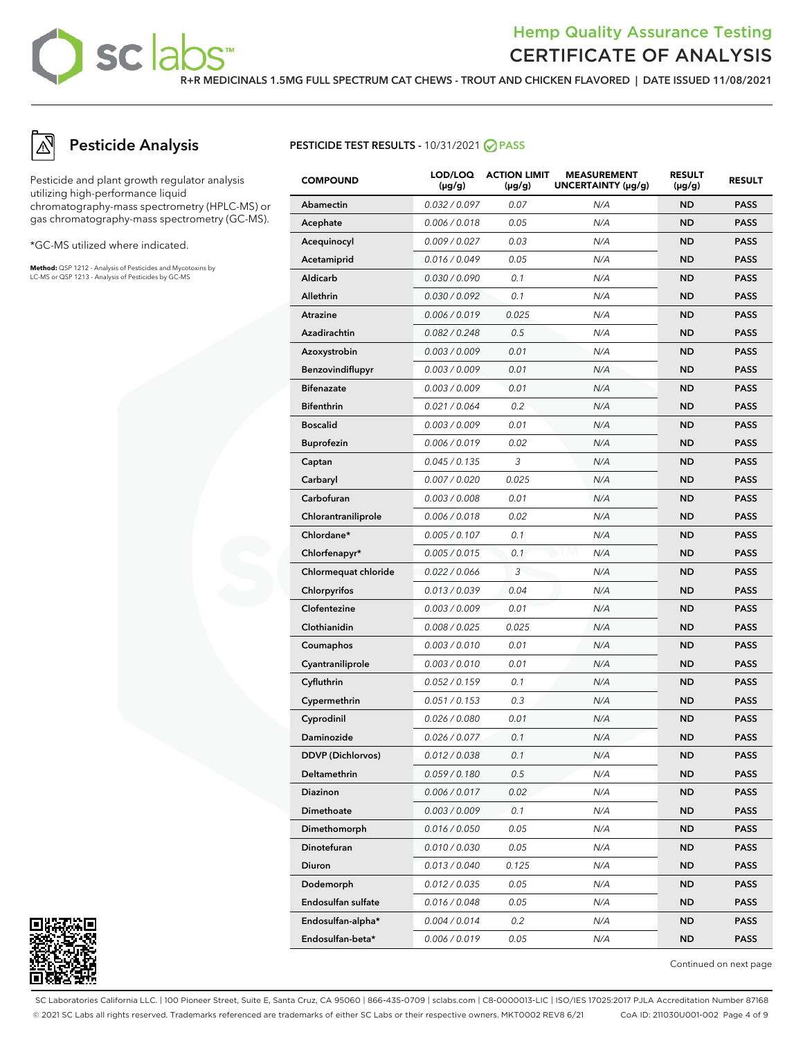**R+R MEDICINALS 1.5MG FULL SPECTRUM CAT CHEWS - TROUT AND CHICKEN FLAVORED | DATE ISSUED 11/08/2021**

## **Pesticide Analysis**

Pesticide and plant growth regulator analysis utilizing high-performance liquid chromatography-mass spectrometry (HPLC-MS) or gas chromatography-mass spectrometry (GC-MS).

sclab

\*GC-MS utilized where indicated.

**Method:** QSP 1212 - Analysis of Pesticides and Mycotoxins by LC-MS or QSP 1213 - Analysis of Pesticides by GC-MS

#### **PESTICIDE TEST RESULTS - 10/31/2021 ⊘ PASS**

| <b>COMPOUND</b>          | LOD/LOQ<br>$(\mu g/g)$ | <b>ACTION LIMIT</b><br>$(\mu q/q)$ | <b>MEASUREMENT</b><br>UNCERTAINTY $(\mu g/g)$ | <b>RESULT</b><br>(µg/g) | <b>RESULT</b> |
|--------------------------|------------------------|------------------------------------|-----------------------------------------------|-------------------------|---------------|
| <b>Abamectin</b>         | 0.032 / 0.097          | 0.07                               | N/A                                           | <b>ND</b>               | <b>PASS</b>   |
| Acephate                 | 0.006 / 0.018          | 0.05                               | N/A                                           | <b>ND</b>               | <b>PASS</b>   |
| Acequinocyl              | 0.009 / 0.027          | 0.03                               | N/A                                           | <b>ND</b>               | <b>PASS</b>   |
| Acetamiprid              | 0.016 / 0.049          | 0.05                               | N/A                                           | <b>ND</b>               | <b>PASS</b>   |
| Aldicarb                 | 0.030 / 0.090          | 0.1                                | N/A                                           | ND                      | <b>PASS</b>   |
| Allethrin                | 0.030 / 0.092          | 0.1                                | N/A                                           | <b>ND</b>               | <b>PASS</b>   |
| Atrazine                 | 0.006 / 0.019          | 0.025                              | N/A                                           | <b>ND</b>               | <b>PASS</b>   |
| Azadirachtin             | 0.082 / 0.248          | 0.5                                | N/A                                           | ND                      | <b>PASS</b>   |
| Azoxystrobin             | 0.003 / 0.009          | 0.01                               | N/A                                           | <b>ND</b>               | <b>PASS</b>   |
| Benzovindiflupyr         | 0.003 / 0.009          | 0.01                               | N/A                                           | <b>ND</b>               | <b>PASS</b>   |
| <b>Bifenazate</b>        | 0.003 / 0.009          | 0.01                               | N/A                                           | ND                      | <b>PASS</b>   |
| <b>Bifenthrin</b>        | 0.021 / 0.064          | 0.2                                | N/A                                           | <b>ND</b>               | <b>PASS</b>   |
| <b>Boscalid</b>          | 0.003/0.009            | 0.01                               | N/A                                           | <b>ND</b>               | <b>PASS</b>   |
| <b>Buprofezin</b>        | 0.006 / 0.019          | 0.02                               | N/A                                           | ND                      | <b>PASS</b>   |
| Captan                   | 0.045 / 0.135          | 3                                  | N/A                                           | <b>ND</b>               | <b>PASS</b>   |
| Carbaryl                 | 0.007 / 0.020          | 0.025                              | N/A                                           | <b>ND</b>               | <b>PASS</b>   |
| Carbofuran               | 0.003 / 0.008          | 0.01                               | N/A                                           | ND                      | <b>PASS</b>   |
| Chlorantraniliprole      | 0.006 / 0.018          | 0.02                               | N/A                                           | <b>ND</b>               | <b>PASS</b>   |
| Chlordane*               | 0.005 / 0.107          | 0.1                                | N/A                                           | <b>ND</b>               | <b>PASS</b>   |
| Chlorfenapyr*            | 0.005 / 0.015          | 0.1                                | N/A                                           | <b>ND</b>               | <b>PASS</b>   |
| Chlormequat chloride     | 0.022 / 0.066          | 3                                  | N/A                                           | <b>ND</b>               | <b>PASS</b>   |
| Chlorpyrifos             | 0.013 / 0.039          | 0.04                               | N/A                                           | <b>ND</b>               | <b>PASS</b>   |
| Clofentezine             | 0.003 / 0.009          | 0.01                               | N/A                                           | ND                      | <b>PASS</b>   |
| Clothianidin             | 0.008 / 0.025          | 0.025                              | N/A                                           | <b>ND</b>               | <b>PASS</b>   |
| Coumaphos                | 0.003 / 0.010          | 0.01                               | N/A                                           | <b>ND</b>               | <b>PASS</b>   |
| Cyantraniliprole         | 0.003 / 0.010          | 0.01                               | N/A                                           | ND                      | <b>PASS</b>   |
| Cyfluthrin               | 0.052 / 0.159          | 0.1                                | N/A                                           | <b>ND</b>               | <b>PASS</b>   |
| Cypermethrin             | 0.051 / 0.153          | 0.3                                | N/A                                           | <b>ND</b>               | <b>PASS</b>   |
| Cyprodinil               | 0.026 / 0.080          | 0.01                               | N/A                                           | ND                      | <b>PASS</b>   |
| Daminozide               | 0.026 / 0.077          | 0.1                                | N/A                                           | <b>ND</b>               | <b>PASS</b>   |
| <b>DDVP (Dichlorvos)</b> | 0.012 / 0.038          | 0.1                                | N/A                                           | <b>ND</b>               | <b>PASS</b>   |
| Deltamethrin             | 0.059/0.180            | 0.5                                | N/A                                           | ND                      | PASS          |
| Diazinon                 | 0.006 / 0.017          | 0.02                               | N/A                                           | ND                      | <b>PASS</b>   |
| Dimethoate               | 0.003 / 0.009          | 0.1                                | N/A                                           | <b>ND</b>               | <b>PASS</b>   |
| Dimethomorph             | 0.016 / 0.050          | 0.05                               | N/A                                           | ND                      | <b>PASS</b>   |
| Dinotefuran              | 0.010 / 0.030          | 0.05                               | N/A                                           | ND                      | <b>PASS</b>   |
| Diuron                   | 0.013 / 0.040          | 0.125                              | N/A                                           | <b>ND</b>               | <b>PASS</b>   |
| Dodemorph                | 0.012 / 0.035          | 0.05                               | N/A                                           | ND                      | <b>PASS</b>   |
| Endosulfan sulfate       | 0.016 / 0.048          | 0.05                               | N/A                                           | ND                      | <b>PASS</b>   |
| Endosulfan-alpha*        | 0.004 / 0.014          | 0.2                                | N/A                                           | <b>ND</b>               | <b>PASS</b>   |
| Endosulfan-beta*         | 0.006 / 0.019          | 0.05                               | N/A                                           | ND                      | <b>PASS</b>   |



Continued on next page

SC Laboratories California LLC. | 100 Pioneer Street, Suite E, Santa Cruz, CA 95060 | 866-435-0709 | sclabs.com | C8-0000013-LIC | ISO/IES 17025:2017 PJLA Accreditation Number 87168 © 2021 SC Labs all rights reserved. Trademarks referenced are trademarks of either SC Labs or their respective owners. MKT0002 REV8 6/21 CoA ID: 211030U001-002 Page 4 of 9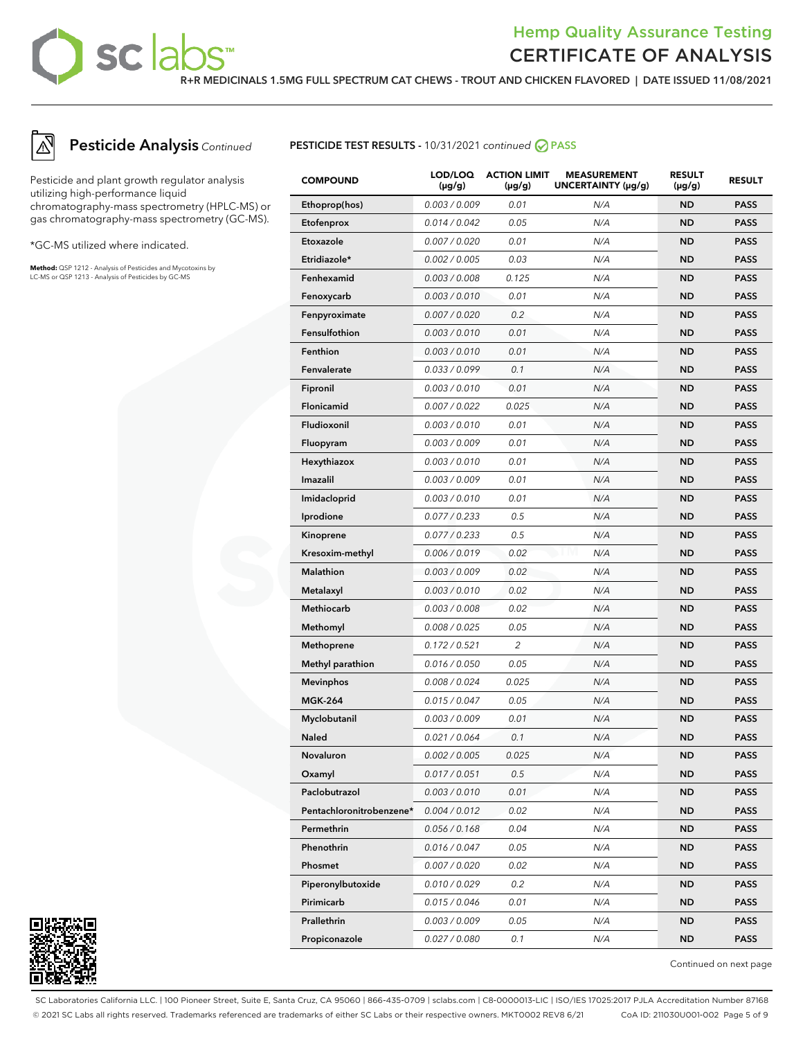sclat

#### **R+R MEDICINALS 1.5MG FULL SPECTRUM CAT CHEWS - TROUT AND CHICKEN FLAVORED | DATE ISSUED 11/08/2021**



## **Pesticide Analysis** Continued

Pesticide and plant growth regulator analysis utilizing high-performance liquid chromatography-mass spectrometry (HPLC-MS) or gas chromatography-mass spectrometry (GC-MS).

\*GC-MS utilized where indicated.

**Method:** QSP 1212 - Analysis of Pesticides and Mycotoxins by LC-MS or QSP 1213 - Analysis of Pesticides by GC-MS



| <b>COMPOUND</b>          | LOD/LOQ<br>$(\mu g/g)$ | <b>ACTION LIMIT</b><br>$(\mu g/g)$ | <b>MEASUREMENT</b><br>UNCERTAINTY $(\mu g/g)$ | <b>RESULT</b><br>$(\mu g/g)$ | <b>RESULT</b> |
|--------------------------|------------------------|------------------------------------|-----------------------------------------------|------------------------------|---------------|
| Ethoprop(hos)            | 0.003 / 0.009          | 0.01                               | N/A                                           | <b>ND</b>                    | <b>PASS</b>   |
| Etofenprox               | 0.014 / 0.042          | 0.05                               | N/A                                           | <b>ND</b>                    | <b>PASS</b>   |
| Etoxazole                | 0.007 / 0.020          | 0.01                               | N/A                                           | ND                           | PASS          |
| Etridiazole*             | 0.002 / 0.005          | 0.03                               | N/A                                           | ND                           | <b>PASS</b>   |
| Fenhexamid               | 0.003 / 0.008          | 0.125                              | N/A                                           | <b>ND</b>                    | <b>PASS</b>   |
| Fenoxycarb               | 0.003 / 0.010          | 0.01                               | N/A                                           | ND                           | <b>PASS</b>   |
| Fenpyroximate            | 0.007 / 0.020          | 0.2                                | N/A                                           | ND                           | <b>PASS</b>   |
| Fensulfothion            | 0.003 / 0.010          | 0.01                               | N/A                                           | <b>ND</b>                    | <b>PASS</b>   |
| Fenthion                 | 0.003 / 0.010          | 0.01                               | N/A                                           | ND                           | <b>PASS</b>   |
| Fenvalerate              | 0.033 / 0.099          | 0.1                                | N/A                                           | ND                           | <b>PASS</b>   |
| Fipronil                 | 0.003 / 0.010          | 0.01                               | N/A                                           | <b>ND</b>                    | <b>PASS</b>   |
| Flonicamid               | 0.007 / 0.022          | 0.025                              | N/A                                           | ND                           | <b>PASS</b>   |
| Fludioxonil              | 0.003 / 0.010          | 0.01                               | N/A                                           | ND                           | <b>PASS</b>   |
| Fluopyram                | 0.003 / 0.009          | 0.01                               | N/A                                           | <b>ND</b>                    | <b>PASS</b>   |
| Hexythiazox              | 0.003 / 0.010          | 0.01                               | N/A                                           | ND                           | PASS          |
| Imazalil                 | 0.003 / 0.009          | 0.01                               | N/A                                           | ND                           | <b>PASS</b>   |
| Imidacloprid             | 0.003 / 0.010          | 0.01                               | N/A                                           | <b>ND</b>                    | <b>PASS</b>   |
| Iprodione                | 0.077 / 0.233          | 0.5                                | N/A                                           | ND                           | <b>PASS</b>   |
| Kinoprene                | 0.077 / 0.233          | 0.5                                | N/A                                           | ND                           | <b>PASS</b>   |
| Kresoxim-methyl          | 0.006 / 0.019          | 0.02                               | N/A                                           | <b>ND</b>                    | <b>PASS</b>   |
| Malathion                | 0.003 / 0.009          | 0.02                               | N/A                                           | ND                           | PASS          |
| Metalaxyl                | 0.003 / 0.010          | 0.02                               | N/A                                           | ND                           | <b>PASS</b>   |
| Methiocarb               | 0.003 / 0.008          | 0.02                               | N/A                                           | <b>ND</b>                    | <b>PASS</b>   |
| Methomyl                 | 0.008 / 0.025          | 0.05                               | N/A                                           | ND                           | <b>PASS</b>   |
| Methoprene               | 0.172 / 0.521          | $\overline{c}$                     | N/A                                           | ND                           | <b>PASS</b>   |
| <b>Methyl parathion</b>  | 0.016 / 0.050          | 0.05                               | N/A                                           | <b>ND</b>                    | <b>PASS</b>   |
| <b>Mevinphos</b>         | 0.008 / 0.024          | 0.025                              | N/A                                           | ND                           | <b>PASS</b>   |
| <b>MGK-264</b>           | 0.015 / 0.047          | 0.05                               | N/A                                           | ND                           | <b>PASS</b>   |
| Myclobutanil             | 0.003 / 0.009          | 0.01                               | N/A                                           | ND                           | <b>PASS</b>   |
| <b>Naled</b>             | 0.021 / 0.064          | 0.1                                | N/A                                           | ND                           | <b>PASS</b>   |
| Novaluron                | 0.002 / 0.005          | 0.025                              | N/A                                           | <b>ND</b>                    | <b>PASS</b>   |
| Oxamyl                   | 0.017 / 0.051          | 0.5                                | N/A                                           | ND                           | <b>PASS</b>   |
| Paclobutrazol            | 0.003 / 0.010          | 0.01                               | N/A                                           | ND                           | <b>PASS</b>   |
| Pentachloronitrobenzene* | 0.004 / 0.012          | 0.02                               | N/A                                           | ND                           | <b>PASS</b>   |
| Permethrin               | 0.056 / 0.168          | 0.04                               | N/A                                           | ND                           | <b>PASS</b>   |
| Phenothrin               | 0.016 / 0.047          | 0.05                               | N/A                                           | ND                           | <b>PASS</b>   |
| Phosmet                  | 0.007 / 0.020          | 0.02                               | N/A                                           | ND                           | <b>PASS</b>   |
| Piperonylbutoxide        | 0.010 / 0.029          | 0.2                                | N/A                                           | <b>ND</b>                    | <b>PASS</b>   |
| Pirimicarb               | 0.015 / 0.046          | 0.01                               | N/A                                           | ND                           | <b>PASS</b>   |
| <b>Prallethrin</b>       | 0.003 / 0.009          | 0.05                               | N/A                                           | ND                           | <b>PASS</b>   |
| Propiconazole            | 0.027 / 0.080          | 0.1                                | N/A                                           | ND                           | <b>PASS</b>   |



Continued on next page

SC Laboratories California LLC. | 100 Pioneer Street, Suite E, Santa Cruz, CA 95060 | 866-435-0709 | sclabs.com | C8-0000013-LIC | ISO/IES 17025:2017 PJLA Accreditation Number 87168 © 2021 SC Labs all rights reserved. Trademarks referenced are trademarks of either SC Labs or their respective owners. MKT0002 REV8 6/21 CoA ID: 211030U001-002 Page 5 of 9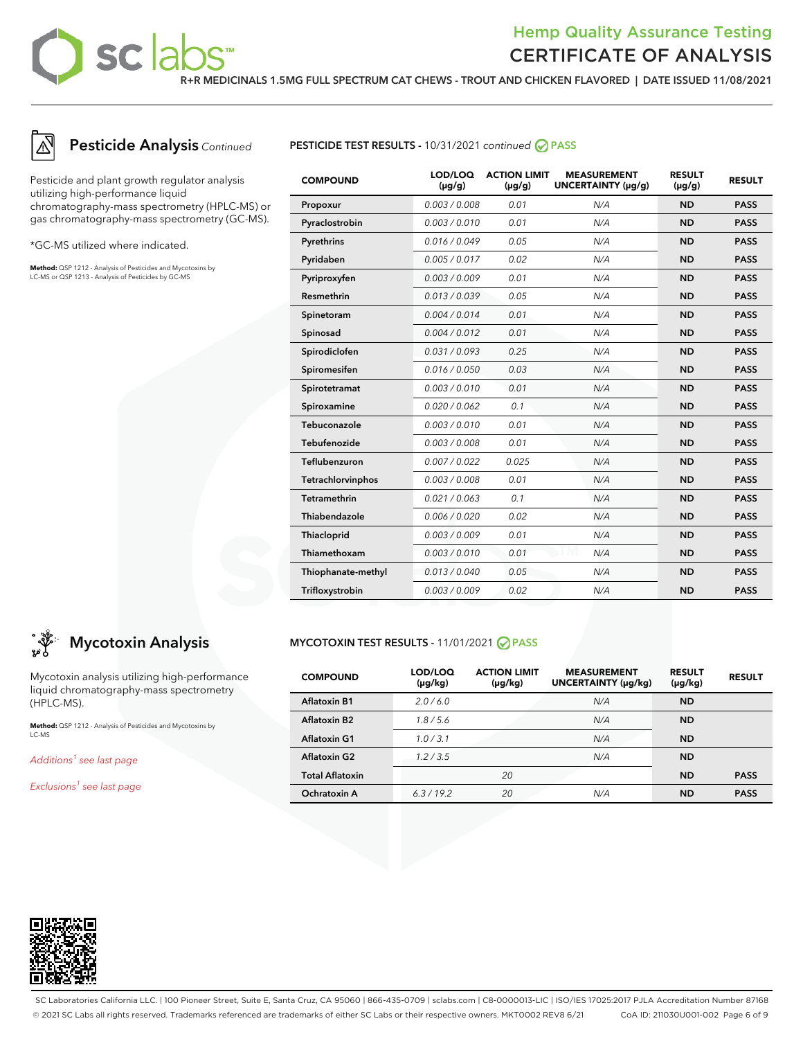sc la

### **R+R MEDICINALS 1.5MG FULL SPECTRUM CAT CHEWS - TROUT AND CHICKEN FLAVORED | DATE ISSUED 11/08/2021**



## **Pesticide Analysis** Continued

Pesticide and plant growth regulator analysis utilizing high-performance liquid chromatography-mass spectrometry (HPLC-MS) or gas chromatography-mass spectrometry (GC-MS).

\*GC-MS utilized where indicated.

**Method:** QSP 1212 - Analysis of Pesticides and Mycotoxins by LC-MS or QSP 1213 - Analysis of Pesticides by GC-MS



| <b>COMPOUND</b>     | LOD/LOQ<br>$(\mu g/g)$ | <b>ACTION LIMIT</b><br>$(\mu g/g)$ | <b>MEASUREMENT</b><br>UNCERTAINTY (µg/g) | <b>RESULT</b><br>$(\mu g/g)$ | <b>RESULT</b> |
|---------------------|------------------------|------------------------------------|------------------------------------------|------------------------------|---------------|
| Propoxur            | 0.003 / 0.008          | 0.01                               | N/A                                      | <b>ND</b>                    | <b>PASS</b>   |
| Pyraclostrobin      | 0.003/0.010            | 0.01                               | N/A                                      | <b>ND</b>                    | <b>PASS</b>   |
| Pyrethrins          | 0.016 / 0.049          | 0.05                               | N/A                                      | <b>ND</b>                    | <b>PASS</b>   |
| Pyridaben           | 0.005 / 0.017          | 0.02                               | N/A                                      | <b>ND</b>                    | <b>PASS</b>   |
| Pyriproxyfen        | 0.003 / 0.009          | 0.01                               | N/A                                      | <b>ND</b>                    | <b>PASS</b>   |
| Resmethrin          | 0.013 / 0.039          | 0.05                               | N/A                                      | <b>ND</b>                    | <b>PASS</b>   |
| Spinetoram          | 0.004 / 0.014          | 0.01                               | N/A                                      | <b>ND</b>                    | <b>PASS</b>   |
| Spinosad            | 0.004 / 0.012          | 0.01                               | N/A                                      | <b>ND</b>                    | <b>PASS</b>   |
| Spirodiclofen       | 0.031 / 0.093          | 0.25                               | N/A                                      | <b>ND</b>                    | <b>PASS</b>   |
| Spiromesifen        | 0.016 / 0.050          | 0.03                               | N/A                                      | <b>ND</b>                    | <b>PASS</b>   |
| Spirotetramat       | 0.003 / 0.010          | 0.01                               | N/A                                      | <b>ND</b>                    | <b>PASS</b>   |
| Spiroxamine         | 0.020 / 0.062          | 0.1                                | N/A                                      | <b>ND</b>                    | <b>PASS</b>   |
| Tebuconazole        | 0.003 / 0.010          | 0.01                               | N/A                                      | <b>ND</b>                    | <b>PASS</b>   |
| Tebufenozide        | 0.003 / 0.008          | 0.01                               | N/A                                      | <b>ND</b>                    | <b>PASS</b>   |
| Teflubenzuron       | 0.007 / 0.022          | 0.025                              | N/A                                      | <b>ND</b>                    | <b>PASS</b>   |
| Tetrachlorvinphos   | 0.003 / 0.008          | 0.01                               | N/A                                      | <b>ND</b>                    | <b>PASS</b>   |
| <b>Tetramethrin</b> | 0.021/0.063            | 0.1                                | N/A                                      | <b>ND</b>                    | <b>PASS</b>   |
| Thiabendazole       | 0.006 / 0.020          | 0.02                               | N/A                                      | <b>ND</b>                    | <b>PASS</b>   |
| Thiacloprid         | 0.003 / 0.009          | 0.01                               | N/A                                      | <b>ND</b>                    | <b>PASS</b>   |
| Thiamethoxam        | 0.003/0.010            | 0.01                               | N/A                                      | <b>ND</b>                    | <b>PASS</b>   |
| Thiophanate-methyl  | 0.013 / 0.040          | 0.05                               | N/A                                      | <b>ND</b>                    | <b>PASS</b>   |
| Trifloxystrobin     | 0.003 / 0.009          | 0.02                               | N/A                                      | <b>ND</b>                    | <b>PASS</b>   |

## **Mycotoxin Analysis**

Mycotoxin analysis utilizing high-performance liquid chromatography-mass spectrometry (HPLC-MS).

**Method:** QSP 1212 - Analysis of Pesticides and Mycotoxins by LC-MS

Additions<sup>1</sup> see last page

Exclusions<sup>1</sup> see last page

#### **MYCOTOXIN TEST RESULTS -** 11/01/2021 **PASS**

| <b>COMPOUND</b>        | LOD/LOQ<br>$(\mu g/kg)$ | <b>ACTION LIMIT</b><br>$(\mu g/kg)$ | <b>MEASUREMENT</b><br>UNCERTAINTY (µq/kq) | <b>RESULT</b><br>$(\mu g/kg)$ | <b>RESULT</b> |
|------------------------|-------------------------|-------------------------------------|-------------------------------------------|-------------------------------|---------------|
| <b>Aflatoxin B1</b>    | 2.0/6.0                 |                                     | N/A                                       | <b>ND</b>                     |               |
| Aflatoxin B2           | 1.8/5.6                 |                                     | N/A                                       | <b>ND</b>                     |               |
| Aflatoxin G1           | 1.0/3.1                 |                                     | N/A                                       | <b>ND</b>                     |               |
| <b>Aflatoxin G2</b>    | 1.2/3.5                 |                                     | N/A                                       | <b>ND</b>                     |               |
| <b>Total Aflatoxin</b> |                         | 20                                  |                                           | <b>ND</b>                     | <b>PASS</b>   |
| Ochratoxin A           | 6.3/19.2                | 20                                  | N/A                                       | <b>ND</b>                     | <b>PASS</b>   |



SC Laboratories California LLC. | 100 Pioneer Street, Suite E, Santa Cruz, CA 95060 | 866-435-0709 | sclabs.com | C8-0000013-LIC | ISO/IES 17025:2017 PJLA Accreditation Number 87168 © 2021 SC Labs all rights reserved. Trademarks referenced are trademarks of either SC Labs or their respective owners. MKT0002 REV8 6/21 CoA ID: 211030U001-002 Page 6 of 9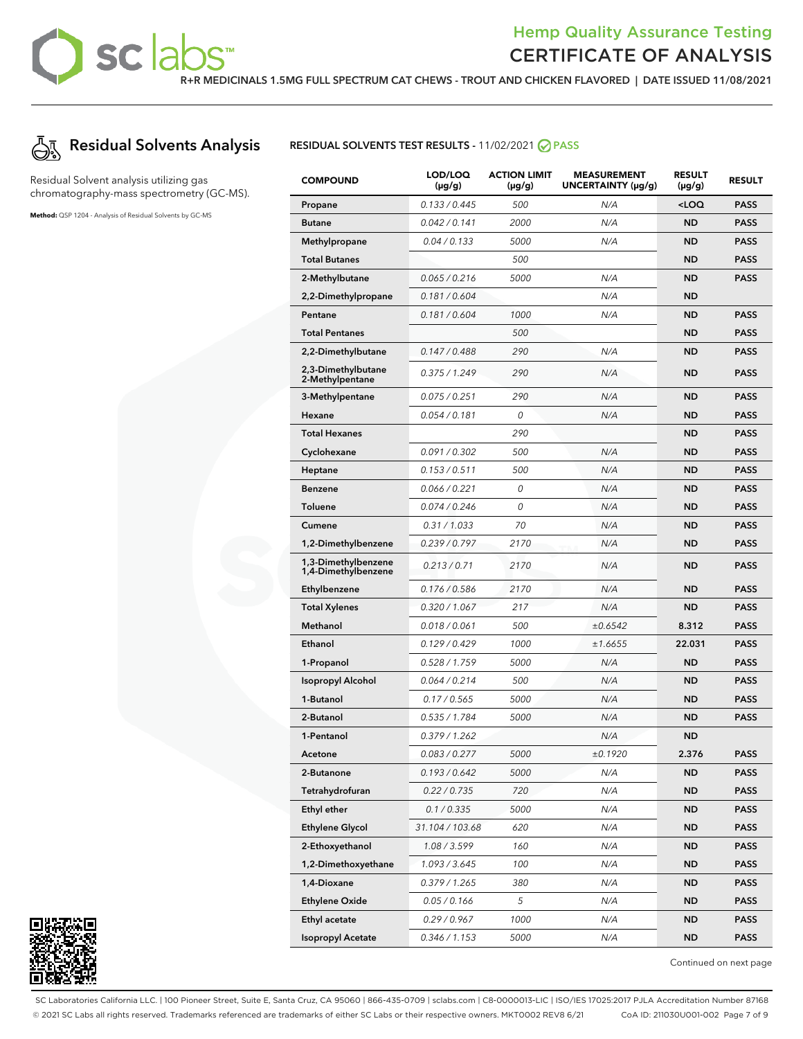**R+R MEDICINALS 1.5MG FULL SPECTRUM CAT CHEWS - TROUT AND CHICKEN FLAVORED | DATE ISSUED 11/08/2021**



Residual Solvent analysis utilizing gas chromatography-mass spectrometry (GC-MS).

**Method:** QSP 1204 - Analysis of Residual Solvents by GC-MS

#### **RESIDUAL SOLVENTS TEST RESULTS -** 11/02/2021 **PASS**

| <b>COMPOUND</b>                            | LOD/LOQ<br>$(\mu g/g)$ | <b>ACTION LIMIT</b><br>$(\mu q/q)$ | <b>MEASUREMENT</b><br>UNCERTAINTY (µg/g) | <b>RESULT</b><br>$(\mu g/g)$            | <b>RESULT</b> |
|--------------------------------------------|------------------------|------------------------------------|------------------------------------------|-----------------------------------------|---------------|
| Propane                                    | 0.133 / 0.445          | 500                                | N/A                                      | <loq< th=""><th><b>PASS</b></th></loq<> | <b>PASS</b>   |
| <b>Butane</b>                              | 0.042 / 0.141          | 2000                               | N/A                                      | <b>ND</b>                               | <b>PASS</b>   |
| Methylpropane                              | 0.04 / 0.133           | 5000                               | N/A                                      | <b>ND</b>                               | <b>PASS</b>   |
| <b>Total Butanes</b>                       |                        | 500                                |                                          | <b>ND</b>                               | <b>PASS</b>   |
| 2-Methylbutane                             | 0.065/0.216            | 5000                               | N/A                                      | <b>ND</b>                               | <b>PASS</b>   |
| 2,2-Dimethylpropane                        | 0.181 / 0.604          |                                    | N/A                                      | <b>ND</b>                               |               |
| Pentane                                    | 0.181 / 0.604          | 1000                               | N/A                                      | <b>ND</b>                               | <b>PASS</b>   |
| <b>Total Pentanes</b>                      |                        | 500                                |                                          | <b>ND</b>                               | <b>PASS</b>   |
| 2,2-Dimethylbutane                         | 0.147 / 0.488          | 290                                | N/A                                      | ND                                      | <b>PASS</b>   |
| 2,3-Dimethylbutane<br>2-Methylpentane      | 0.375/1.249            | 290                                | N/A                                      | <b>ND</b>                               | <b>PASS</b>   |
| 3-Methylpentane                            | 0.075 / 0.251          | 290                                | N/A                                      | <b>ND</b>                               | <b>PASS</b>   |
| Hexane                                     | 0.054 / 0.181          | 0                                  | N/A                                      | <b>ND</b>                               | <b>PASS</b>   |
| <b>Total Hexanes</b>                       |                        | 290                                |                                          | <b>ND</b>                               | <b>PASS</b>   |
| Cyclohexane                                | 0.091 / 0.302          | 500                                | N/A                                      | <b>ND</b>                               | <b>PASS</b>   |
| <b>Heptane</b>                             | 0.153 / 0.511          | 500                                | N/A                                      | <b>ND</b>                               | <b>PASS</b>   |
| <b>Benzene</b>                             | 0.066 / 0.221          | 0                                  | N/A                                      | <b>ND</b>                               | <b>PASS</b>   |
| Toluene                                    | 0.074/0.246            | 0                                  | N/A                                      | <b>ND</b>                               | <b>PASS</b>   |
| Cumene                                     | 0.31 / 1.033           | 70                                 | N/A                                      | <b>ND</b>                               | <b>PASS</b>   |
| 1,2-Dimethylbenzene                        | 0.239/0.797            | 2170                               | N/A                                      | <b>ND</b>                               | <b>PASS</b>   |
| 1,3-Dimethylbenzene<br>1,4-Dimethylbenzene | 0.213 / 0.71           | 2170                               | N/A                                      | <b>ND</b>                               | <b>PASS</b>   |
| Ethylbenzene                               | 0.176 / 0.586          | 2170                               | N/A                                      | <b>ND</b>                               | <b>PASS</b>   |
| <b>Total Xylenes</b>                       | 0.320 / 1.067          | 217                                | N/A                                      | <b>ND</b>                               | <b>PASS</b>   |
| Methanol                                   | 0.018 / 0.061          | 500                                | ±0.6542                                  | 8.312                                   | <b>PASS</b>   |
| Ethanol                                    | 0.129/0.429            | 1000                               | ±1.6655                                  | 22.031                                  | <b>PASS</b>   |
| 1-Propanol                                 | 0.528 / 1.759          | <i>5000</i>                        | N/A                                      | <b>ND</b>                               | <b>PASS</b>   |
| <b>Isopropyl Alcohol</b>                   | 0.064 / 0.214          | 500                                | N/A                                      | <b>ND</b>                               | <b>PASS</b>   |
| 1-Butanol                                  | 0.17 / 0.565           | 5000                               | N/A                                      | <b>ND</b>                               | <b>PASS</b>   |
| 2-Butanol                                  | 0.535 / 1.784          | <i>5000</i>                        | N/A                                      | ND                                      | <b>PASS</b>   |
| 1-Pentanol                                 | 0.379/1.262            |                                    | N/A                                      | ND                                      |               |
| Acetone                                    | 0.083 / 0.277          | 5000                               | ±0.1920                                  | 2.376                                   | <b>PASS</b>   |
| 2-Butanone                                 | 0.193 / 0.642          | 5000                               | N/A                                      | ND                                      | <b>PASS</b>   |
| Tetrahydrofuran                            | 0.22 / 0.735           | 720                                | N/A                                      | ND                                      | <b>PASS</b>   |
| <b>Ethyl ether</b>                         | 0.1 / 0.335            | 5000                               | N/A                                      | ND.                                     | <b>PASS</b>   |
| <b>Ethylene Glycol</b>                     | 31.104 / 103.68        | 620                                | N/A                                      | ND                                      | PASS          |
| 2-Ethoxyethanol                            | 1.08 / 3.599           | 160                                | N/A                                      | ND                                      | <b>PASS</b>   |
| 1,2-Dimethoxyethane                        | 1.093 / 3.645          | 100                                | N/A                                      | ND                                      | <b>PASS</b>   |
| 1,4-Dioxane                                | 0.379/1.265            | 380                                | N/A                                      | ND                                      | PASS          |
| <b>Ethylene Oxide</b>                      | 0.05 / 0.166           | 5                                  | N/A                                      | ND                                      | <b>PASS</b>   |
| Ethyl acetate                              | 0.29 / 0.967           | 1000                               | N/A                                      | ND.                                     | <b>PASS</b>   |
| <b>Isopropyl Acetate</b>                   | 0.346 / 1.153          | 5000                               | N/A                                      | ND                                      | <b>PASS</b>   |



Continued on next page

SC Laboratories California LLC. | 100 Pioneer Street, Suite E, Santa Cruz, CA 95060 | 866-435-0709 | sclabs.com | C8-0000013-LIC | ISO/IES 17025:2017 PJLA Accreditation Number 87168 © 2021 SC Labs all rights reserved. Trademarks referenced are trademarks of either SC Labs or their respective owners. MKT0002 REV8 6/21 CoA ID: 211030U001-002 Page 7 of 9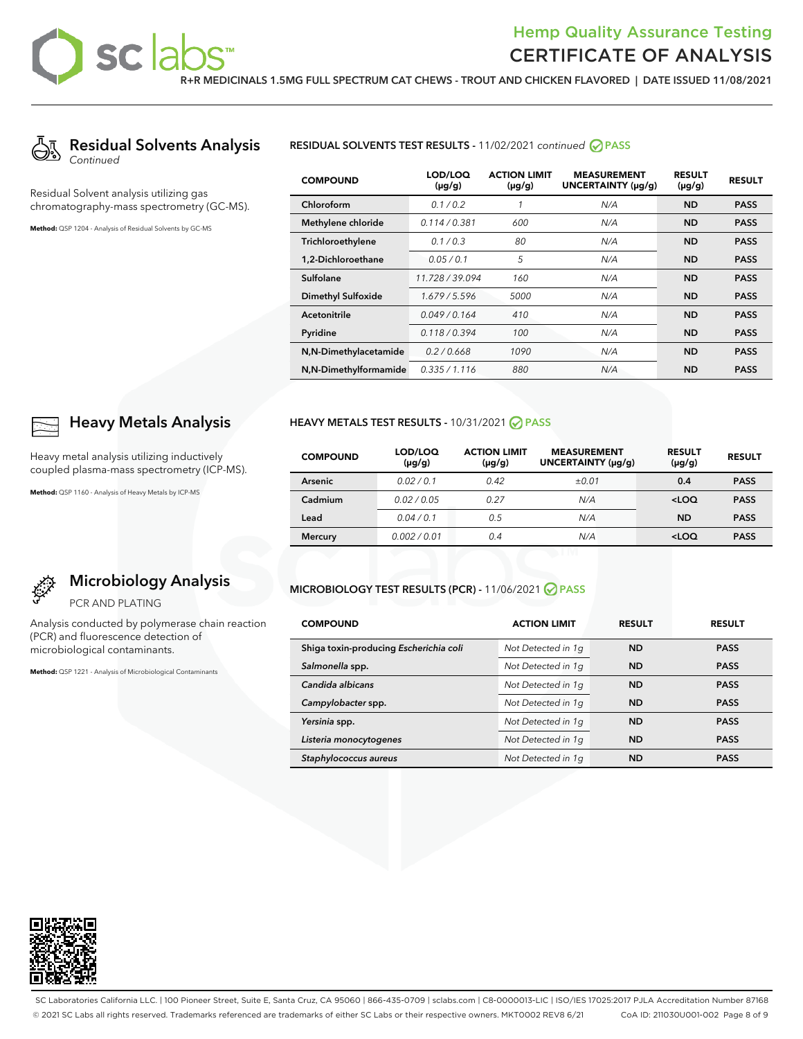

Residual Solvent analysis utilizing gas chromatography-mass spectrometry (GC-MS).

**Method:** QSP 1204 - Analysis of Residual Solvents by GC-MS

#### **RESIDUAL SOLVENTS TEST RESULTS -** 11/02/2021 continued **PASS**

| <b>COMPOUND</b>       | LOD/LOQ<br>$(\mu g/g)$ | <b>ACTION LIMIT</b><br>$(\mu g/g)$ | <b>MEASUREMENT</b><br>UNCERTAINTY (µg/g) | <b>RESULT</b><br>$(\mu g/g)$ | <b>RESULT</b> |
|-----------------------|------------------------|------------------------------------|------------------------------------------|------------------------------|---------------|
| Chloroform            | 0.1 / 0.2              | 1                                  | N/A                                      | <b>ND</b>                    | <b>PASS</b>   |
| Methylene chloride    | 0.114/0.381            | 600                                | N/A                                      | <b>ND</b>                    | <b>PASS</b>   |
| Trichloroethylene     | 0.1/0.3                | 80                                 | N/A                                      | <b>ND</b>                    | <b>PASS</b>   |
| 1.2-Dichloroethane    | 0.05/0.1               | 5                                  | N/A                                      | <b>ND</b>                    | <b>PASS</b>   |
| Sulfolane             | 11.728 / 39.094        | 160                                | N/A                                      | <b>ND</b>                    | <b>PASS</b>   |
| Dimethyl Sulfoxide    | 1.679/5.596            | 5000                               | N/A                                      | <b>ND</b>                    | <b>PASS</b>   |
| Acetonitrile          | 0.049/0.164            | 410                                | N/A                                      | <b>ND</b>                    | <b>PASS</b>   |
| Pyridine              | 0.118/0.394            | 100                                | N/A                                      | <b>ND</b>                    | <b>PASS</b>   |
| N,N-Dimethylacetamide | 0.2/0.668              | 1090                               | N/A                                      | <b>ND</b>                    | <b>PASS</b>   |
| N,N-Dimethylformamide | 0.335 / 1.116          | 880                                | N/A                                      | <b>ND</b>                    | <b>PASS</b>   |

### **Heavy Metals Analysis**

Heavy metal analysis utilizing inductively coupled plasma-mass spectrometry (ICP-MS).

**Method:** QSP 1160 - Analysis of Heavy Metals by ICP-MS

#### **HEAVY METALS TEST RESULTS -** 10/31/2021 **PASS**

| <b>COMPOUND</b> | LOD/LOQ<br>$(\mu g/g)$ | <b>ACTION LIMIT</b><br>$(\mu g/g)$ | <b>MEASUREMENT</b><br>UNCERTAINTY (µg/g) | <b>RESULT</b><br>$(\mu g/g)$ | <b>RESULT</b> |
|-----------------|------------------------|------------------------------------|------------------------------------------|------------------------------|---------------|
| Arsenic         | 0.02/0.1               | 0.42                               | ±0.01                                    | 0.4                          | <b>PASS</b>   |
| Cadmium         | 0.02/0.05              | 0.27                               | N/A                                      | $<$ LOQ                      | <b>PASS</b>   |
| Lead            | 0.04/0.1               | 0.5                                | N/A                                      | <b>ND</b>                    | <b>PASS</b>   |
| <b>Mercury</b>  | 0.002/0.01             | 0.4                                | N/A                                      | $<$ LOQ                      | <b>PASS</b>   |

## **Microbiology Analysis**

PCR AND PLATING

Analysis conducted by polymerase chain reaction (PCR) and fluorescence detection of microbiological contaminants.

**Method:** QSP 1221 - Analysis of Microbiological Contaminants

#### **MICROBIOLOGY TEST RESULTS (PCR) -** 11/06/2021 **PASS**

| <b>COMPOUND</b>                        | <b>ACTION LIMIT</b> | <b>RESULT</b> | <b>RESULT</b> |
|----------------------------------------|---------------------|---------------|---------------|
| Shiga toxin-producing Escherichia coli | Not Detected in 1q  | <b>ND</b>     | <b>PASS</b>   |
| Salmonella spp.                        | Not Detected in 1q  | <b>ND</b>     | <b>PASS</b>   |
| Candida albicans                       | Not Detected in 1q  | <b>ND</b>     | <b>PASS</b>   |
| Campylobacter spp.                     | Not Detected in 1q  | <b>ND</b>     | <b>PASS</b>   |
| Yersinia spp.                          | Not Detected in 1q  | <b>ND</b>     | <b>PASS</b>   |
| Listeria monocytogenes                 | Not Detected in 1q  | <b>ND</b>     | <b>PASS</b>   |
| Staphylococcus aureus                  | Not Detected in 1q  | <b>ND</b>     | <b>PASS</b>   |



SC Laboratories California LLC. | 100 Pioneer Street, Suite E, Santa Cruz, CA 95060 | 866-435-0709 | sclabs.com | C8-0000013-LIC | ISO/IES 17025:2017 PJLA Accreditation Number 87168 © 2021 SC Labs all rights reserved. Trademarks referenced are trademarks of either SC Labs or their respective owners. MKT0002 REV8 6/21 CoA ID: 211030U001-002 Page 8 of 9